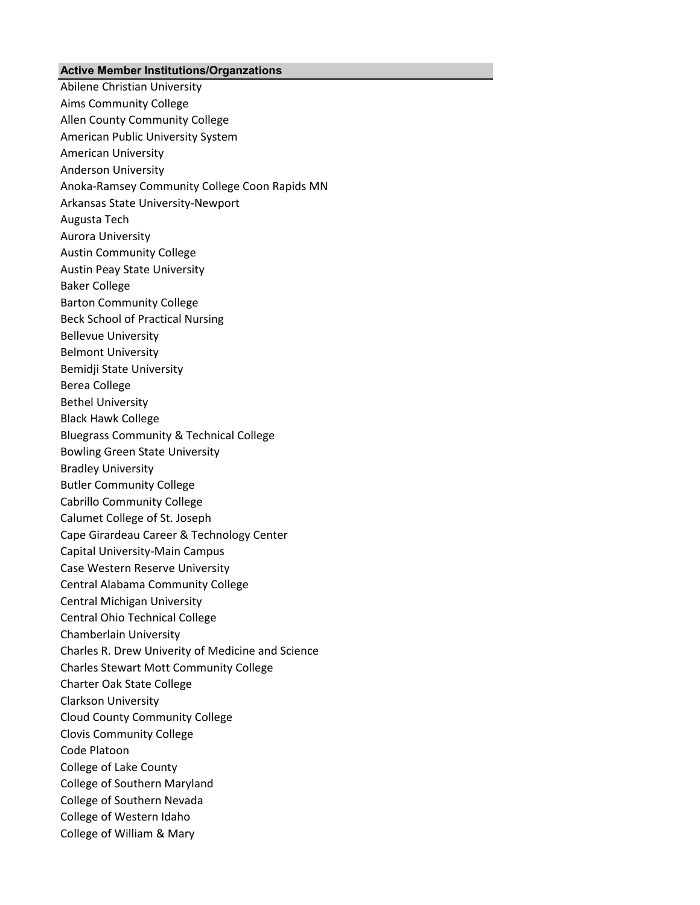## **Active Member Institutions/Organzations**

Abilene Christian University Aims Community College Allen County Community College American Public University System American University Anderson University Anoka-Ramsey Community College Coon Rapids MN Arkansas State University-Newport Augusta Tech Aurora University Austin Community College Austin Peay State University Baker College Barton Community College Beck School of Practical Nursing Bellevue University Belmont University Bemidji State University Berea College Bethel University Black Hawk College Bluegrass Community & Technical College Bowling Green State University Bradley University Butler Community College Cabrillo Community College Calumet College of St. Joseph Cape Girardeau Career & Technology Center Capital University-Main Campus Case Western Reserve University Central Alabama Community College Central Michigan University Central Ohio Technical College Chamberlain University Charles R. Drew Univerity of Medicine and Science Charles Stewart Mott Community College Charter Oak State College Clarkson University Cloud County Community College Clovis Community College Code Platoon College of Lake County College of Southern Maryland College of Southern Nevada College of Western Idaho College of William & Mary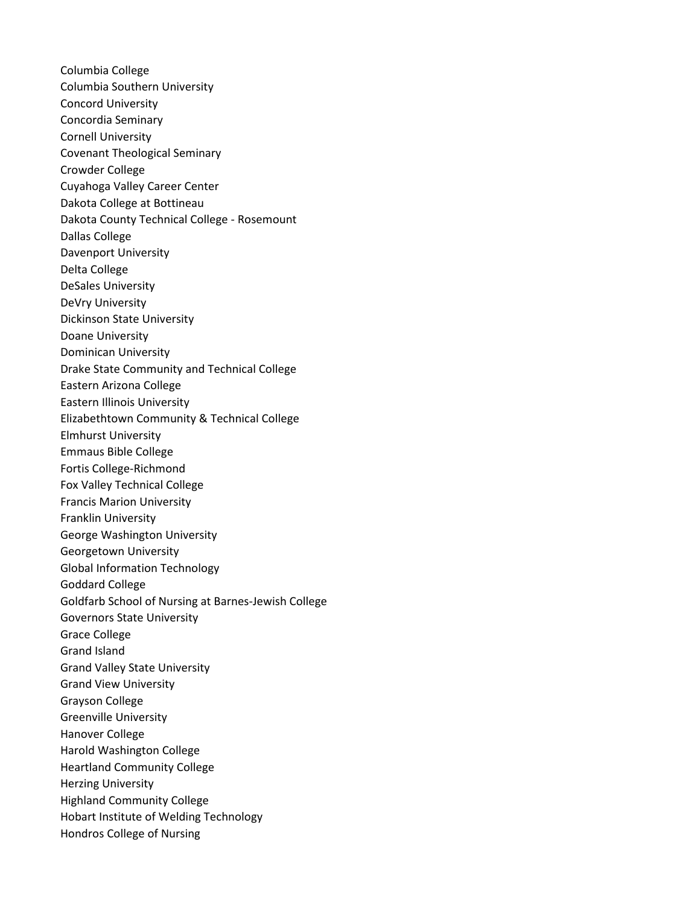Columbia College Columbia Southern University Concord University Concordia Seminary Cornell University Covenant Theological Seminary Crowder College Cuyahoga Valley Career Center Dakota College at Bottineau Dakota County Technical College - Rosemount Dallas College Davenport University Delta College DeSales University DeVry University Dickinson State University Doane University Dominican University Drake State Community and Technical College Eastern Arizona College Eastern Illinois University Elizabethtown Community & Technical College Elmhurst University Emmaus Bible College Fortis College-Richmond Fox Valley Technical College Francis Marion University Franklin University George Washington University Georgetown University Global Information Technology Goddard College Goldfarb School of Nursing at Barnes-Jewish College Governors State University Grace College Grand Island Grand Valley State University Grand View University Grayson College Greenville University Hanover College Harold Washington College Heartland Community College Herzing University Highland Community College Hobart Institute of Welding Technology Hondros College of Nursing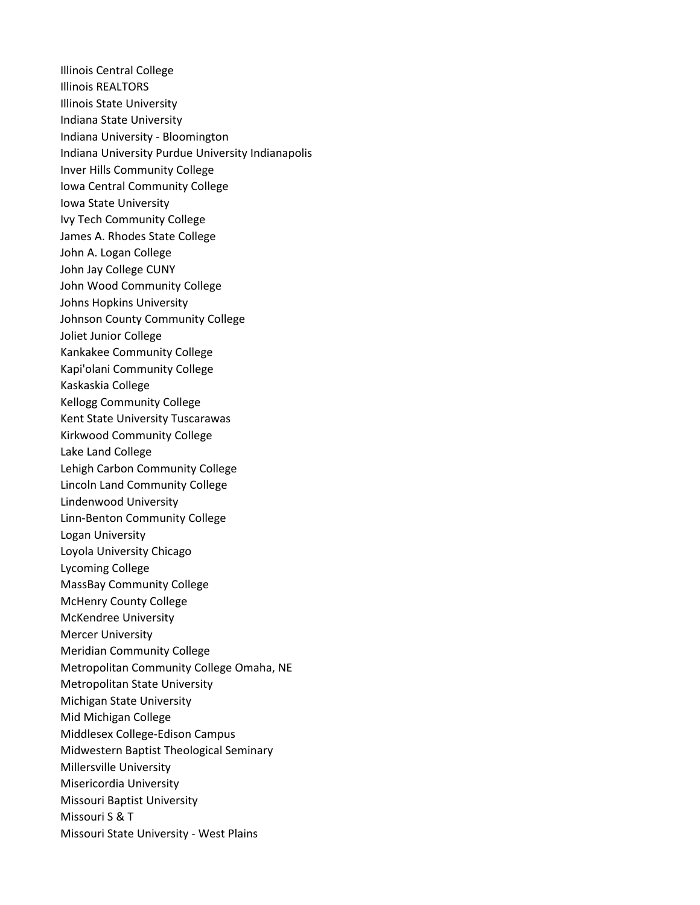Illinois Central College Illinois REALTORS Illinois State University Indiana State University Indiana University - Bloomington Indiana University Purdue University Indianapolis Inver Hills Community College Iowa Central Community College Iowa State University Ivy Tech Community College James A. Rhodes State College John A. Logan College John Jay College CUNY John Wood Community College Johns Hopkins University Johnson County Community College Joliet Junior College Kankakee Community College Kapi'olani Community College Kaskaskia College Kellogg Community College Kent State University Tuscarawas Kirkwood Community College Lake Land College Lehigh Carbon Community College Lincoln Land Community College Lindenwood University Linn-Benton Community College Logan University Loyola University Chicago Lycoming College MassBay Community College McHenry County College McKendree University Mercer University Meridian Community College Metropolitan Community College Omaha, NE Metropolitan State University Michigan State University Mid Michigan College Middlesex College-Edison Campus Midwestern Baptist Theological Seminary Millersville University Misericordia University Missouri Baptist University Missouri S & T Missouri State University - West Plains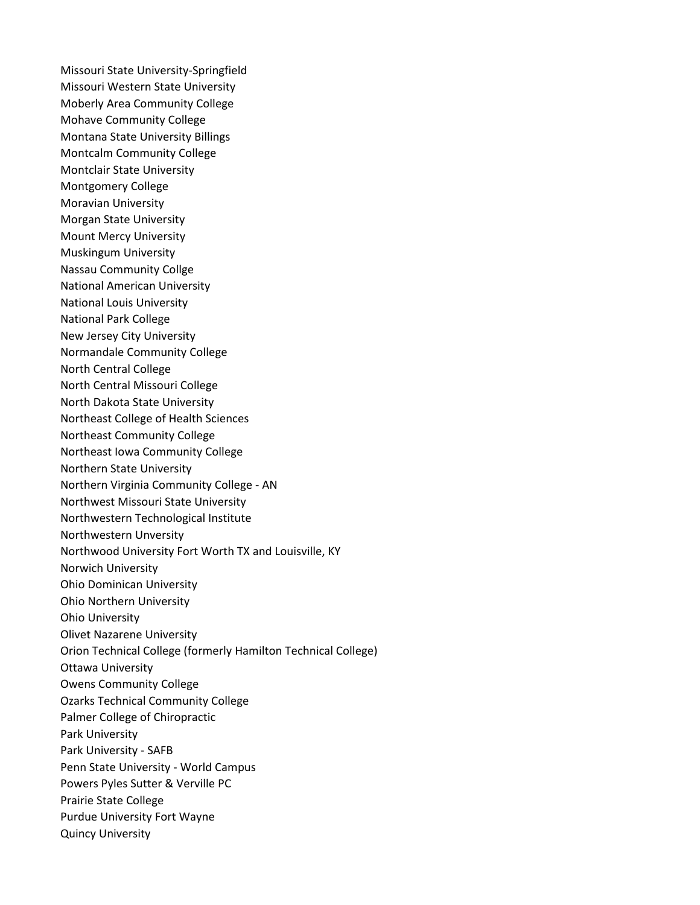Missouri State University-Springfield Missouri Western State University Moberly Area Community College Mohave Community College Montana State University Billings Montcalm Community College Montclair State University Montgomery College Moravian University Morgan State University Mount Mercy University Muskingum University Nassau Community Collge National American University National Louis University National Park College New Jersey City University Normandale Community College North Central College North Central Missouri College North Dakota State University Northeast College of Health Sciences Northeast Community College Northeast Iowa Community College Northern State University Northern Virginia Community College - AN Northwest Missouri State University Northwestern Technological Institute Northwestern Unversity Northwood University Fort Worth TX and Louisville, KY Norwich University Ohio Dominican University Ohio Northern University Ohio University Olivet Nazarene University Orion Technical College (formerly Hamilton Technical College) Ottawa University Owens Community College Ozarks Technical Community College Palmer College of Chiropractic Park University Park University - SAFB Penn State University - World Campus Powers Pyles Sutter & Verville PC Prairie State College Purdue University Fort Wayne Quincy University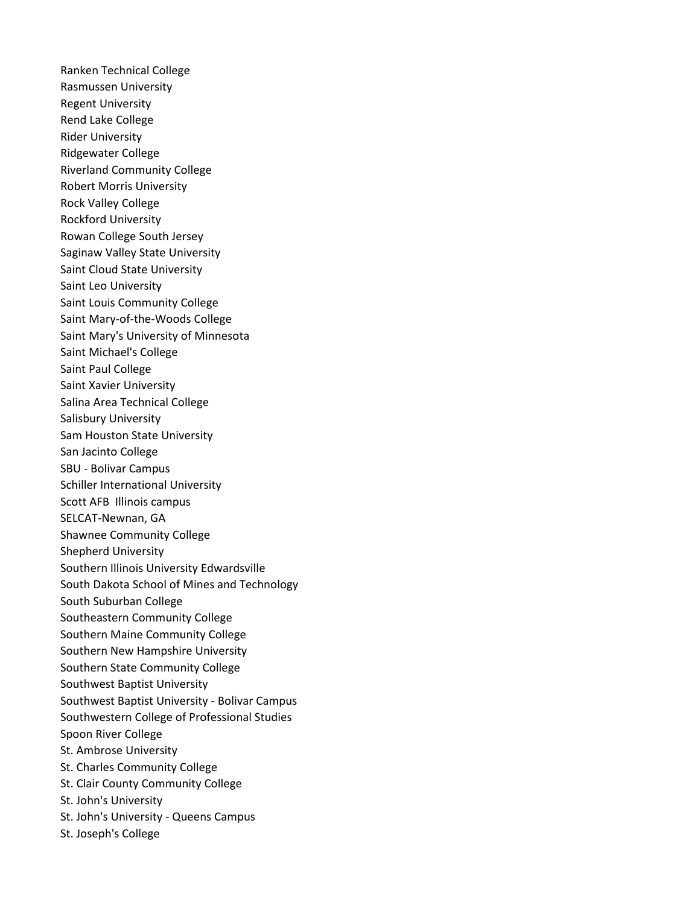Ranken Technical College Rasmussen University Regent University Rend Lake College Rider University Ridgewater College Riverland Community College Robert Morris University Rock Valley College Rockford University Rowan College South Jersey Saginaw Valley State University Saint Cloud State University Saint Leo University Saint Louis Community College Saint Mary-of-the-Woods College Saint Mary's University of Minnesota Saint Michael's College Saint Paul College Saint Xavier University Salina Area Technical College Salisbury University Sam Houston State University San Jacinto College SBU - Bolivar Campus Schiller International University Scott AFB Illinois campus SELCAT-Newnan, GA Shawnee Community College Shepherd University Southern Illinois University Edwardsville South Dakota School of Mines and Technology South Suburban College Southeastern Community College Southern Maine Community College Southern New Hampshire University Southern State Community College Southwest Baptist University Southwest Baptist University - Bolivar Campus Southwestern College of Professional Studies Spoon River College St. Ambrose University St. Charles Community College St. Clair County Community College St. John's University St. John's University - Queens Campus St. Joseph's College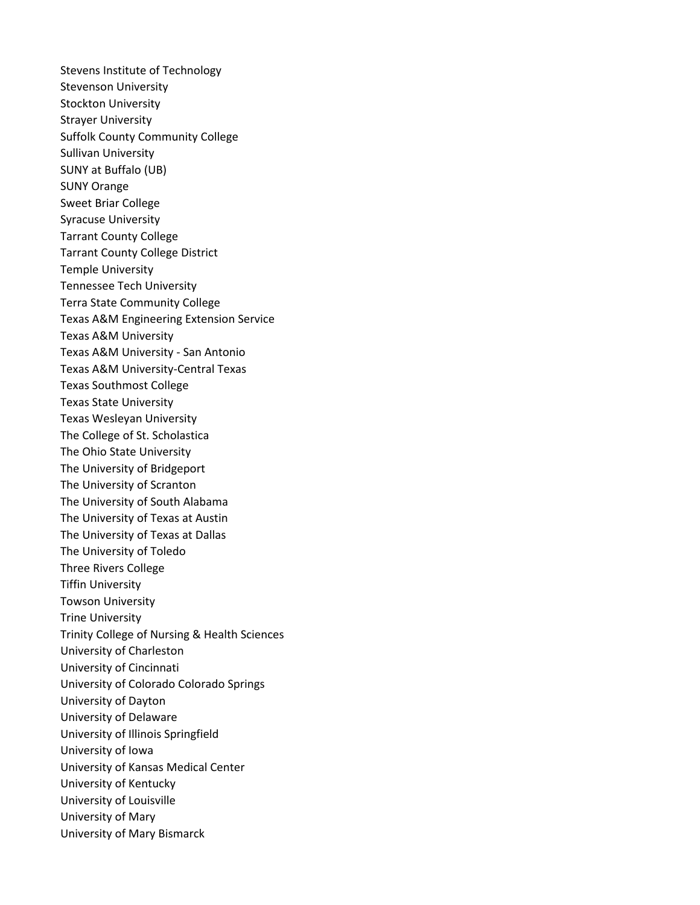Stevens Institute of Technology Stevenson University Stockton University Strayer University Suffolk County Community College Sullivan University SUNY at Buffalo (UB) SUNY Orange Sweet Briar College Syracuse University Tarrant County College Tarrant County College District Temple University Tennessee Tech University Terra State Community College Texas A&M Engineering Extension Service Texas A&M University Texas A&M University - San Antonio Texas A&M University-Central Texas Texas Southmost College Texas State University Texas Wesleyan University The College of St. Scholastica The Ohio State University The University of Bridgeport The University of Scranton The University of South Alabama The University of Texas at Austin The University of Texas at Dallas The University of Toledo Three Rivers College Tiffin University Towson University Trine University Trinity College of Nursing & Health Sciences University of Charleston University of Cincinnati University of Colorado Colorado Springs University of Dayton University of Delaware University of Illinois Springfield University of Iowa University of Kansas Medical Center University of Kentucky University of Louisville University of Mary University of Mary Bismarck